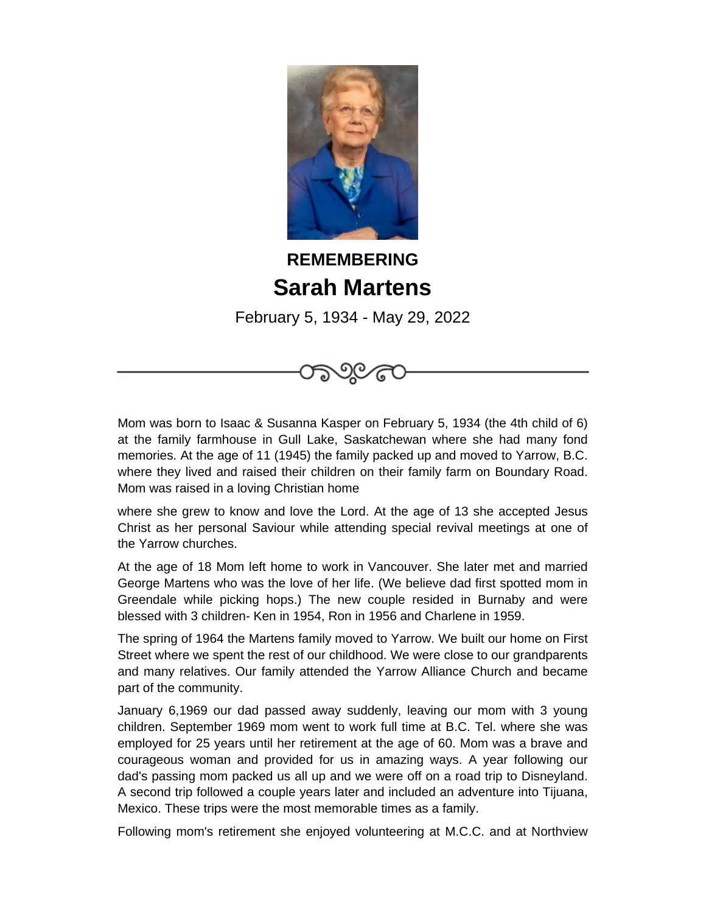

## **REMEMBERING Sarah Martens**

February 5, 1934 - May 29, 2022

Mom was born to Isaac & Susanna Kasper on February 5, 1934 (the 4th child of 6) at the family farmhouse in Gull Lake, Saskatchewan where she had many fond memories. At the age of 11 (1945) the family packed up and moved to Yarrow, B.C. where they lived and raised their children on their family farm on Boundary Road. Mom was raised in a loving Christian home

where she grew to know and love the Lord. At the age of 13 she accepted Jesus Christ as her personal Saviour while attending special revival meetings at one of the Yarrow churches.

At the age of 18 Mom left home to work in Vancouver. She later met and married George Martens who was the love of her life. (We believe dad first spotted mom in Greendale while picking hops.) The new couple resided in Burnaby and were blessed with 3 children- Ken in 1954, Ron in 1956 and Charlene in 1959.

The spring of 1964 the Martens family moved to Yarrow. We built our home on First Street where we spent the rest of our childhood. We were close to our grandparents and many relatives. Our family attended the Yarrow Alliance Church and became part of the community.

January 6,1969 our dad passed away suddenly, leaving our mom with 3 young children. September 1969 mom went to work full time at B.C. Tel. where she was employed for 25 years until her retirement at the age of 60. Mom was a brave and courageous woman and provided for us in amazing ways. A year following our dad's passing mom packed us all up and we were off on a road trip to Disneyland. A second trip followed a couple years later and included an adventure into Tijuana, Mexico. These trips were the most memorable times as a family.

Following mom's retirement she enjoyed volunteering at M.C.C. and at Northview